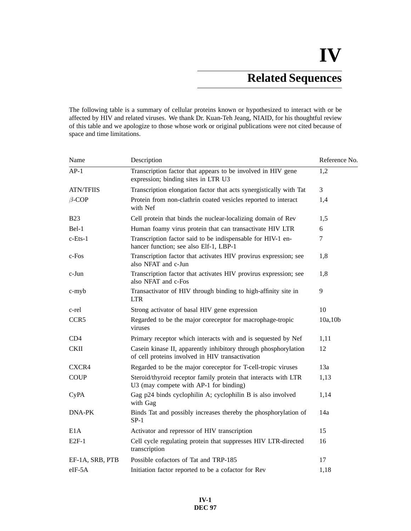# **Related Sequences**

The following table is a summary of cellular proteins known or hypothesized to interact with or be affected by HIV and related viruses. We thank Dr. Kuan-Teh Jeang, NIAID, for his thoughtful review of this table and we apologize to those whose work or original publications were not cited because of space and time limitations.

| Name             | Description                                                                                                         | Reference No. |
|------------------|---------------------------------------------------------------------------------------------------------------------|---------------|
| $AP-1$           | Transcription factor that appears to be involved in HIV gene<br>expression; binding sites in LTR U3                 | 1,2           |
| <b>ATN/TFIIS</b> | Transcription elongation factor that acts synergistically with Tat                                                  | 3             |
| $\beta$ -COP     | Protein from non-clathrin coated vesicles reported to interact<br>with Nef                                          | 1,4           |
| <b>B23</b>       | Cell protein that binds the nuclear-localizing domain of Rev                                                        | 1,5           |
| Bel-1            | Human foamy virus protein that can transactivate HIV LTR                                                            | 6             |
| $c$ -Ets- $1$    | Transcription factor said to be indispensable for HIV-1 en-<br>hancer function; see also Elf-1, LBP-1               | 7             |
| c-Fos            | Transcription factor that activates HIV provirus expression; see<br>also NFAT and c-Jun                             | 1,8           |
| c-Jun            | Transcription factor that activates HIV provirus expression; see<br>also NFAT and c-Fos                             | 1,8           |
| $c$ -my $b$      | Transactivator of HIV through binding to high-affinity site in<br><b>LTR</b>                                        | 9             |
| c-rel            | Strong activator of basal HIV gene expression                                                                       | 10            |
| CCR <sub>5</sub> | Regarded to be the major coreceptor for macrophage-tropic<br>viruses                                                | 10a, 10b      |
| CD4              | Primary receptor which interacts with and is sequested by Nef                                                       | 1,11          |
| <b>CKII</b>      | Casein kinase II, apparently inhibitory through phosphorylation<br>of cell proteins involved in HIV transactivation | 12            |
| CXCR4            | Regarded to be the major coreceptor for T-cell-tropic viruses                                                       | 13a           |
| <b>COUP</b>      | Steroid/thyroid receptor family protein that interacts with LTR<br>U3 (may compete with AP-1 for binding)           | 1,13          |
| <b>CyPA</b>      | Gag p24 binds cyclophilin A; cyclophilin B is also involved<br>with Gag                                             | 1,14          |
| DNA-PK           | Binds Tat and possibly increases thereby the phosphorylation of<br>$SP-1$                                           | 14a           |
| E <sub>1</sub> A | Activator and repressor of HIV transcription                                                                        | 15            |
| $E2F-1$          | Cell cycle regulating protein that suppresses HIV LTR-directed<br>transcription                                     | 16            |
| EF-1A, SRB, PTB  | Possible cofactors of Tat and TRP-185                                                                               | 17            |
| eIF-5A           | Initiation factor reported to be a cofactor for Rev                                                                 | 1,18          |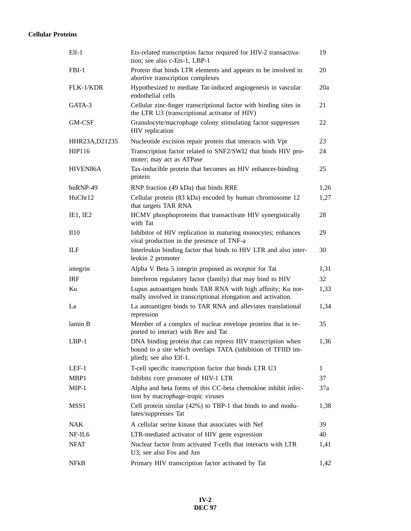## **Cellular Proteins**

| $E$ lf-1           | Ets-related transcription factor required for HIV-2 transactiva-<br>tion; see also c-Ets-1, LBP-1                                                      | 19   |
|--------------------|--------------------------------------------------------------------------------------------------------------------------------------------------------|------|
| $FBI-1$            | Protein that binds LTR elements and appears to be involved in<br>abortive transcription complexes                                                      | 20   |
| FLK-1/KDR          | Hypothesized to mediate Tat-induced angiogenesis in vascular<br>endothelial cells                                                                      | 20a  |
| GATA-3             | Cellular zinc-finger transcriptional factor with binding sites in<br>the LTR U3 (transcriptional activator of HIV)                                     | 21   |
| GM-CSF             | Granulocyte/macrophage colony stimulating factor suppresses<br>HIV replication                                                                         | 22   |
| HHR23A, D21235     | Nucleotide excision repair protein that interacts with Vpr                                                                                             | 23   |
| HIP116             | Transcription factor related to SNF2/SWI2 that binds HIV pro-<br>moter; may act as ATPase                                                              | 24   |
| HIVEN86A           | Tax-inducible protein that becomes an HIV enhancer-binding<br>protein                                                                                  | 25   |
| hnRNP-49           | RNP fraction (49 kDa) that binds RRE                                                                                                                   | 1,26 |
| HuChr12            | Cellular protein (83 kDa) encoded by human chromosome 12<br>that targets TAR RNA                                                                       | 1,27 |
| IE1, IE2           | HCMV phosphoproteins that transactivate HIV synergistically<br>with Tat                                                                                | 28   |
| II10               | Inhibitor of HIV replication in maturing monocytes; enhances<br>viral production in the presence of TNF-a                                              | 29   |
| ILF                | Interleukin binding factor that binds to HIV LTR and also inter-<br>leukin 2 promoter                                                                  | 30   |
| integrin           | Alpha V Beta 5 integrin proposed as receptor for Tat                                                                                                   | 1,31 |
| <b>IRF</b>         | Interferon regulatory factor (family) that may bind to HIV                                                                                             | 32   |
| Ku                 | Lupus autoantigen binds TAR RNA with high affinity; Ku nor-<br>mally involved in transcriptional elongation and activation.                            | 1,33 |
| La                 | La autoantigen binds to TAR RNA and alleviates translational<br>repression                                                                             | 1,34 |
| lamin B            | Member of a complex of nuclear envelope proteins that is re-<br>ported to interact with Rev and Tat                                                    | 35   |
| $LBP-1$            | DNA binding protein that can repress HIV transcription when<br>bound to a site which overlaps TATA (inhibition of TFIID im-<br>plied); see also Elf-1. | 1,36 |
| $LEF-1$            | T-cell specific transcription factor that binds LTR U3                                                                                                 | 1    |
| MBP1               | Inhibits core promoter of HIV-1 LTR                                                                                                                    | 37   |
| $MIP-1$            | Alpha and beta forms of this CC-beta chemokine inhibit infec-<br>tion by macrophage-tropic viruses                                                     | 37a  |
| MSS <sub>1</sub>   | Cell protein similar (42%) to TBP-1 that binds to and modu-<br>lates/suppresses Tat                                                                    | 1,38 |
| <b>NAK</b>         | A cellular serine kinase that associates with Nef                                                                                                      | 39   |
| NF-IL <sub>6</sub> | LTR-mediated activator of HIV gene expression                                                                                                          | 40   |
| <b>NFAT</b>        | Nuclear factor from activated T-cells that interacts with LTR<br>U3; see also Fos and Jun                                                              | 1,41 |
| NFkB               | Primary HIV transcription factor activated by Tat                                                                                                      | 1,42 |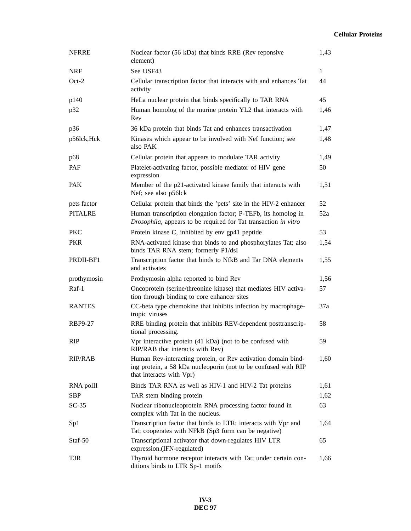## **Cellular Proteins**

| <b>NFRRE</b>   | Nuclear factor (56 kDa) that binds RRE (Rev reponsive<br>element)                                                                                           | 1,43         |
|----------------|-------------------------------------------------------------------------------------------------------------------------------------------------------------|--------------|
| <b>NRF</b>     | See USF43                                                                                                                                                   | $\mathbf{1}$ |
| $Oct-2$        | Cellular transcription factor that interacts with and enhances Tat<br>activity                                                                              | 44           |
| p140           | HeLa nuclear protein that binds specifically to TAR RNA                                                                                                     | 45           |
| p32            | Human homolog of the murine protein YL2 that interacts with<br>Rev                                                                                          | 1,46         |
| p36            | 36 kDa protein that binds Tat and enhances transactivation                                                                                                  | 1,47         |
| p56lck, Hck    | Kinases which appear to be involved with Nef function; see<br>also PAK                                                                                      | 1,48         |
| p68            | Cellular protein that appears to modulate TAR activity                                                                                                      | 1,49         |
| PAF            | Platelet-activating factor, possible mediator of HIV gene<br>expression                                                                                     | 50           |
| <b>PAK</b>     | Member of the p21-activated kinase family that interacts with<br>Nef; see also p56lck                                                                       | 1,51         |
| pets factor    | Cellular protein that binds the 'pets' site in the HIV-2 enhancer                                                                                           | 52           |
| <b>PITALRE</b> | Human transcription elongation factor; P-TEFb, its homolog in<br>Drosophila, appears to be required for Tat transaction in vitro                            | 52a          |
| <b>PKC</b>     | Protein kinase C, inhibited by env gp41 peptide                                                                                                             | 53           |
| <b>PKR</b>     | RNA-activated kinase that binds to and phosphorylates Tat; also<br>binds TAR RNA stem; formerly P1/dsI                                                      | 1,54         |
| PRDII-BF1      | Transcription factor that binds to NfkB and Tar DNA elements<br>and activates                                                                               | 1,55         |
| prothymosin    | Prothymosin alpha reported to bind Rev                                                                                                                      | 1,56         |
| Raf-1          | Oncoprotein (serine/threonine kinase) that mediates HIV activa-<br>tion through binding to core enhancer sites                                              | 57           |
| <b>RANTES</b>  | CC-beta type chemokine that inhibits infection by macrophage-<br>tropic viruses                                                                             | 37a          |
| <b>RBP9-27</b> | RRE binding protein that inhibits REV-dependent posttranscrip-<br>tional processing.                                                                        | 58           |
| <b>RIP</b>     | Vpr interactive protein (41 kDa) (not to be confused with<br>RIP/RAB that interacts with Rev)                                                               | 59           |
| <b>RIP/RAB</b> | Human Rev-interacting protein, or Rev activation domain bind-<br>ing protein, a 58 kDa nucleoporin (not to be confused with RIP<br>that interacts with Vpr) | 1,60         |
| RNA poll       | Binds TAR RNA as well as HIV-1 and HIV-2 Tat proteins                                                                                                       | 1,61         |
| <b>SBP</b>     | TAR stem binding protein                                                                                                                                    | 1,62         |
| $SC-35$        | Nuclear ribonucleoprotein RNA processing factor found in<br>complex with Tat in the nucleus.                                                                | 63           |
| Sp1            | Transcription factor that binds to LTR; interacts with Vpr and<br>Tat; cooperates with NFkB (Sp3 form can be negative)                                      | 1,64         |
| Staf-50        | Transcriptional activator that down-regulates HIV LTR<br>expression.(IFN-regulated)                                                                         | 65           |
| T3R            | Thyroid hormone receptor interacts with Tat; under certain con-<br>ditions binds to LTR Sp-1 motifs                                                         | 1,66         |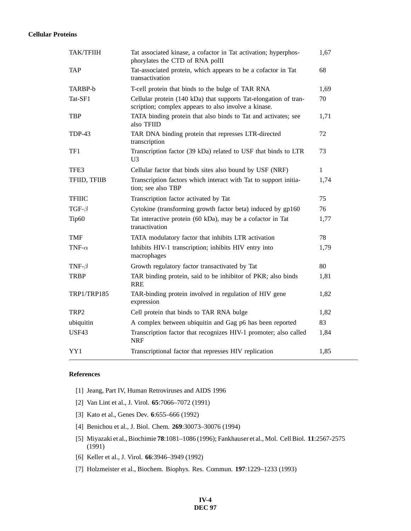### **Cellular Proteins**

| <b>TAK/TFIIH</b>   | Tat associated kinase, a cofactor in Tat activation; hyperphos-<br>phorylates the CTD of RNA polII                       | 1,67 |
|--------------------|--------------------------------------------------------------------------------------------------------------------------|------|
| <b>TAP</b>         | Tat-associated protein, which appears to be a cofactor in Tat<br>transactivation                                         | 68   |
| TARBP-b            | T-cell protein that binds to the bulge of TAR RNA                                                                        | 1,69 |
| Tat-SF1            | Cellular protein (140 kDa) that supports Tat-elongation of tran-<br>scription; complex appears to also involve a kinase. | 70   |
| <b>TBP</b>         | TATA binding protein that also binds to Tat and activates; see<br>also TFIID                                             | 1,71 |
| TDP-43             | TAR DNA binding protein that represses LTR-directed<br>transcription                                                     | 72   |
| TF1                | Transcription factor (39 kDa) related to USF that binds to LTR<br>U <sub>3</sub>                                         | 73   |
| TFE3               | Cellular factor that binds sites also bound by USF (NRF)                                                                 | 1    |
| TFIID, TFIIB       | Transcription factors which interact with Tat to support initia-<br>tion; see also TBP                                   | 1,74 |
| <b>TFIIIC</b>      | Transcription factor activated by Tat                                                                                    | 75   |
| TGF- $\beta$       | Cytokine (transforming growth factor beta) induced by gp160                                                              | 76   |
| Tip60              | Tat interactive protein (60 kDa), may be a cofactor in Tat<br>tranactivation                                             | 1,77 |
| <b>TMF</b>         | TATA modulatory factor that inhibits LTR activation                                                                      | 78   |
| TNF- $\alpha$      | Inhibits HIV-1 transcription; inhibits HIV entry into<br>macrophages                                                     | 1,79 |
| TNF- $\beta$       | Growth regulatory factor transactivated by Tat                                                                           | 80   |
| <b>TRBP</b>        | TAR binding protein, said to be inhibitor of PKR; also binds<br><b>RRE</b>                                               | 1,81 |
| <b>TRP1/TRP185</b> | TAR-binding protein involved in regulation of HIV gene<br>expression                                                     | 1,82 |
| TRP2               | Cell protein that binds to TAR RNA bulge                                                                                 | 1,82 |
| ubiquitin          | A complex between ubiquitin and Gag p6 has been reported                                                                 | 83   |
| <b>USF43</b>       | Transcription factor that recognizes HIV-1 promoter; also called<br><b>NRF</b>                                           | 1,84 |
| YY1                | Transcriptional factor that represses HIV replication                                                                    | 1,85 |

### **References**

- [1] Jeang, Part IV, Human Retroviruses and AIDS 1996
- [2] Van Lint et al., J. Virol. **65**:7066–7072 (1991)
- [3] Kato et al., Genes Dev. **6**:655–666 (1992)
- [4] Benichou et al., J. Biol. Chem. **269**:30073–30076 (1994)
- [5] Miyazaki et al., Biochimie **78**:1081–1086 (1996); Fankhauser et al., Mol. Cell Biol. **11**:2567-2575 (1991)
- [6] Keller et al., J. Virol. **66**:3946–3949 (1992)
- [7] Holzmeister et al., Biochem. Biophys. Res. Commun. **197**:1229–1233 (1993)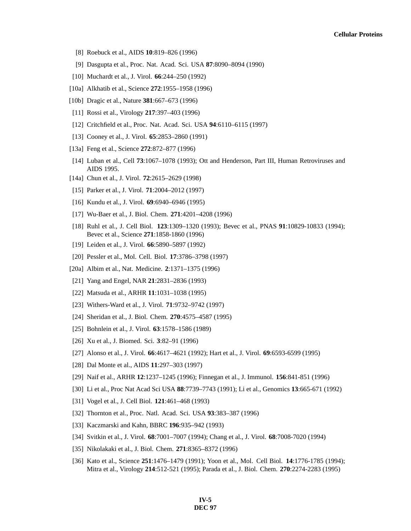- [8] Roebuck et al., AIDS **10**:819–826 (1996)
- [9] Dasgupta et al., Proc. Nat. Acad. Sci. USA **87**:8090–8094 (1990)
- [10] Muchardt et al., J. Virol. **66**:244–250 (1992)
- [10a] Alkhatib et al., Science **272**:1955–1958 (1996)
- [10b] Dragic et al., Nature **381**:667–673 (1996)
- [11] Rossi et al., Virology **217**:397–403 (1996)
- [12] Critchfield et al., Proc. Nat. Acad. Sci. USA **94**:6110–6115 (1997)
- [13] Cooney et al., J. Virol. **65**:2853–2860 (1991)
- [13a] Feng et al., Science **272**:872–877 (1996)
- [14] Luban et al., Cell **73**:1067–1078 (1993); Ott and Henderson, Part III, Human Retroviruses and AIDS 1995.
- [14a] Chun et al., J. Virol. **72**:2615–2629 (1998)
- [15] Parker et al., J. Virol. **71**:2004–2012 (1997)
- [16] Kundu et al., J. Virol. **69**:6940–6946 (1995)
- [17] Wu-Baer et al., J. Biol. Chem. **271**:4201–4208 (1996)
- [18] Ruhl et al., J. Cell Biol. **123**:1309–1320 (1993); Bevec et al., PNAS **91**:10829-10833 (1994); Bevec et al., Science **271**:1858-1860 (1996)
- [19] Leiden et al., J. Virol. **66**:5890–5897 (1992)
- [20] Pessler et al., Mol. Cell. Biol. **17**:3786–3798 (1997)
- [20a] Albim et al., Nat. Medicine. **2**:1371–1375 (1996)
- [21] Yang and Engel, NAR **21**:2831–2836 (1993)
- [22] Matsuda et al., ARHR **11**:1031–1038 (1995)
- [23] Withers-Ward et al., J. Virol. **71**:9732–9742 (1997)
- [24] Sheridan et al., J. Biol. Chem. **270**:4575–4587 (1995)
- [25] Bohnlein et al., J. Virol. **63**:1578–1586 (1989)
- [26] Xu et al., J. Biomed. Sci. **3**:82–91 (1996)
- [27] Alonso et al., J. Virol. **66**:4617–4621 (1992); Hart et al., J. Virol. **69**:6593-6599 (1995)
- [28] Dal Monte et al., AIDS **11**:297–303 (1997)
- [29] Naif et al., ARHR **12**:1237–1245 (1996); Finnegan et al., J. Immunol. **156**:841-851 (1996)
- [30] Li et al., Proc Nat Acad Sci USA **88**:7739–7743 (1991); Li et al., Genomics **13**:665-671 (1992)
- [31] Vogel et al., J. Cell Biol. **121**:461–468 (1993)
- [32] Thornton et al., Proc. Natl. Acad. Sci. USA **93**:383–387 (1996)
- [33] Kaczmarski and Kahn, BBRC **196**:935–942 (1993)
- [34] Svitkin et al., J. Virol. **68**:7001–7007 (1994); Chang et al., J. Virol. **68**:7008-7020 (1994)
- [35] Nikolakaki et al., J. Biol. Chem. **271**:8365–8372 (1996)
- [36] Kato et al., Science **251**:1476–1479 (1991); Yoon et al., Mol. Cell Biol. **14**:1776-1785 (1994); Mitra et al., Virology **214**:512-521 (1995); Parada et al., J. Biol. Chem. **270**:2274-2283 (1995)

**IV-5 DEC 97**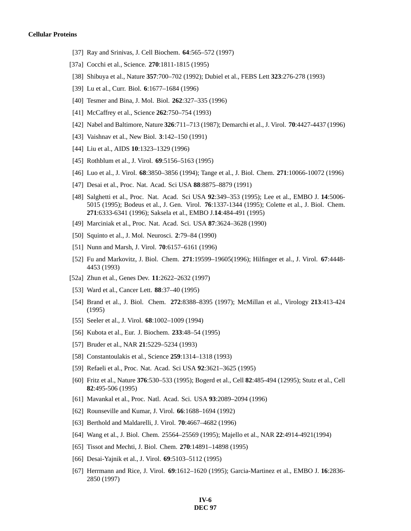- [37] Ray and Srinivas, J. Cell Biochem. **64**:565–572 (1997)
- [37a] Cocchi et al., Science. **270**:1811-1815 (1995)
- [38] Shibuya et al., Nature **357**:700–702 (1992); Dubiel et al., FEBS Lett **323**:276-278 (1993)
- [39] Lu et al., Curr. Biol. **6**:1677–1684 (1996)
- [40] Tesmer and Bina, J. Mol. Biol. **262**:327–335 (1996)
- [41] McCaffrey et al., Science **262**:750–754 (1993)
- [42] Nabel and Baltimore, Nature **326**:711–713 (1987); Demarchi et al., J. Virol. **70**:4427-4437 (1996)
- [43] Vaishnav et al., New Biol. **3**:142–150 (1991)
- [44] Liu et al., AIDS **10**:1323–1329 (1996)
- [45] Rothblum et al., J. Virol. **69**:5156–5163 (1995)
- [46] Luo et al., J. Virol. **68**:3850–3856 (1994); Tange et al., J. Biol. Chem. **271**:10066-10072 (1996)
- [47] Desai et al., Proc. Nat. Acad. Sci USA **88**:8875–8879 (1991)
- [48] Salghetti et al., Proc. Nat. Acad. Sci USA **92**:349–353 (1995); Lee et al., EMBO J. **14**:5006- 5015 (1995); Bodeus et al., J. Gen. Virol. **76**:1337-1344 (1995); Colette et al., J. Biol. Chem. **271**:6333-6341 (1996); Saksela et al., EMBO J.**14**:484-491 (1995)
- [49] Marciniak et al., Proc. Nat. Acad. Sci. USA **87**:3624–3628 (1990)
- [50] Squinto et al., J. Mol. Neurosci. **2**:79–84 (1990)
- [51] Nunn and Marsh, J. Virol. **70**:6157–6161 (1996)
- [52] Fu and Markovitz, J. Biol. Chem. **271**:19599–19605(1996); Hilfinger et al., J. Virol. **67**:4448- 4453 (1993)
- [52a] Zhun et al., Genes Dev. **11**:2622–2632 (1997)
- [53] Ward et al., Cancer Lett. **88**:37–40 (1995)
- [54] Brand et al., J. Biol. Chem. **272**:8388–8395 (1997); McMillan et al., Virology **213**:413-424 (1995)
- [55] Seeler et al., J. Virol. **68**:1002–1009 (1994)
- [56] Kubota et al., Eur. J. Biochem. **233**:48–54 (1995)
- [57] Bruder et al., NAR **21**:5229–5234 (1993)
- [58] Constantoulakis et al., Science **259**:1314–1318 (1993)
- [59] Refaeli et al., Proc. Nat. Acad. Sci USA **92**:3621–3625 (1995)
- [60] Fritz et al., Nature **376**:530–533 (1995); Bogerd et al., Cell **82**:485-494 (12995); Stutz et al., Cell **82**:495-506 (1995)
- [61] Mavankal et al., Proc. Natl. Acad. Sci. USA **93**:2089–2094 (1996)
- [62] Rounseville and Kumar, J. Virol. **66**:1688–1694 (1992)
- [63] Berthold and Maldarelli, J. Virol. **70**:4667–4682 (1996)
- [64] Wang et al., J. Biol. Chem. 25564–25569 (1995); Majello et al., NAR **22**:4914-4921(1994)
- [65] Tissot and Mechti, J. Biol. Chem. **270**:14891–14898 (1995)
- [66] Desai-Yajnik et al., J. Virol. **69**:5103–5112 (1995)
- [67] Herrmann and Rice, J. Virol. **69**:1612–1620 (1995); Garcia-Martinez et al., EMBO J. **16**:2836- 2850 (1997)

#### **IV-6 DEC 97**